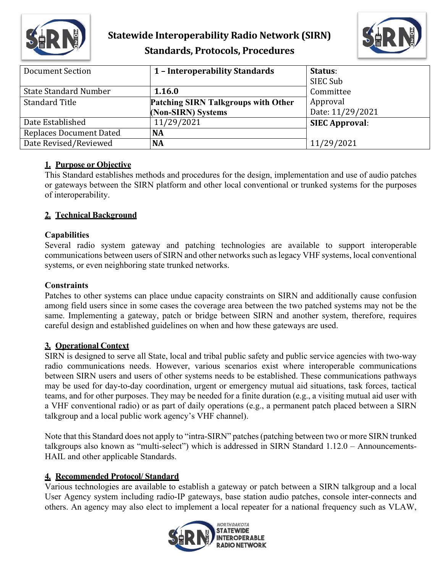

## **Statewide Interoperability Radio Network (SIRN) Standards, Protocols, Procedures**



| Document Section               | 1 - Interoperability Standards             | Status:               |
|--------------------------------|--------------------------------------------|-----------------------|
|                                |                                            | SIEC Sub              |
| <b>State Standard Number</b>   | 1.16.0                                     | Committee             |
| <b>Standard Title</b>          | <b>Patching SIRN Talkgroups with Other</b> | Approval              |
|                                | (Non-SIRN) Systems                         | Date: 11/29/2021      |
| Date Established               | 11/29/2021                                 | <b>SIEC Approval:</b> |
| <b>Replaces Document Dated</b> | <b>NA</b>                                  |                       |
| Date Revised/Reviewed          | <b>NA</b>                                  | 11/29/2021            |

## **1. Purpose or Objective**

This Standard establishes methods and procedures for the design, implementation and use of audio patches or gateways between the SIRN platform and other local conventional or trunked systems for the purposes of interoperability.

## **2. Technical Background**

## **Capabilities**

Several radio system gateway and patching technologies are available to support interoperable communications between users of SIRN and other networks such as legacy VHF systems, local conventional systems, or even neighboring state trunked networks.

#### **Constraints**

Patches to other systems can place undue capacity constraints on SIRN and additionally cause confusion among field users since in some cases the coverage area between the two patched systems may not be the same. Implementing a gateway, patch or bridge between SIRN and another system, therefore, requires careful design and established guidelines on when and how these gateways are used.

## **3. Operational Context**

SIRN is designed to serve all State, local and tribal public safety and public service agencies with two-way radio communications needs. However, various scenarios exist where interoperable communications between SIRN users and users of other systems needs to be established. These communications pathways may be used for day-to-day coordination, urgent or emergency mutual aid situations, task forces, tactical teams, and for other purposes. They may be needed for a finite duration (e.g., a visiting mutual aid user with a VHF conventional radio) or as part of daily operations (e.g., a permanent patch placed between a SIRN talkgroup and a local public work agency's VHF channel).

Note that this Standard does not apply to "intra-SIRN" patches (patching between two or more SIRN trunked talkgroups also known as "multi-select") which is addressed in SIRN Standard 1.12.0 – Announcements-HAIL and other applicable Standards.

## **4. Recommended Protocol/ Standard**

Various technologies are available to establish a gateway or patch between a SIRN talkgroup and a local User Agency system including radio-IP gateways, base station audio patches, console inter-connects and others. An agency may also elect to implement a local repeater for a national frequency such as VLAW,

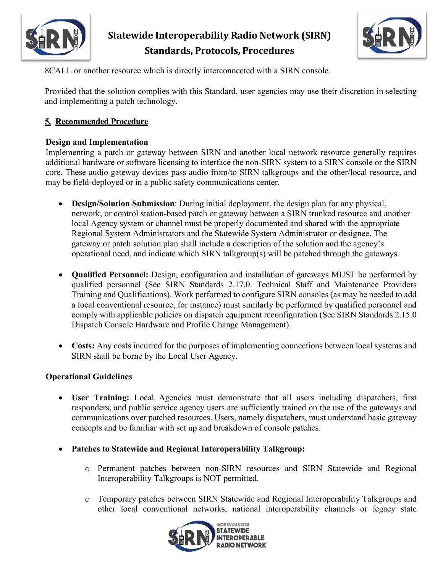

## **Statewide Interoperability Radio Network (SIRN) Standards, Protocols, Procedures**



8CALL or another resource which is directly interconnected with a SIRN console.

Provided that the solution complies with this Standard, user agencies may use their discretion in selecting and implementing a patch technology.

## **5. Recommended Procedure**

## **Design and Implementation**

Implementing a patch or gateway between SIRN and another local network resource generally requires additional hardware or software licensing to interface the non-SIRN system to a SIRN console or the SIRN core. These audio gateway devices pass audio from/to SIRN talkgroups and the other/local resource, and may be field-deployed or in a public safety communications center.

- **Design/Solution Submission**: During initial deployment, the design plan for any physical, network, or control station-based patch or gateway between a SIRN trunked resource and another local Agency system or channel must be properly documented and shared with the appropriate Regional System Administrators and the Statewide System Administrator or designee. The gateway or patch solution plan shall include a description of the solution and the agency's operational need, and indicate which SIRN talkgroup(s) will be patched through the gateways.
- **Qualified Personnel:** Design, configuration and installation of gateways MUST be performed by qualified personnel (See SIRN Standards 2.17.0. Technical Staff and Maintenance Providers Training and Qualifications). Work performed to configure SIRN consoles (as may be needed to add a local conventional resource, for instance) must similarly be performed by qualified personnel and comply with applicable policies on dispatch equipment reconfiguration (See SIRN Standards 2.15.0 Dispatch Console Hardware and Profile Change Management).
- **Costs:** Any costs incurred for the purposes of implementing connections between local systems and SIRN shall be borne by the Local User Agency.

## **Operational Guidelines**

- **User Training:** Local Agencies must demonstrate that all users including dispatchers, first responders, and public service agency users are sufficiently trained on the use of the gateways and communications over patched resources. Users, namely dispatchers, must understand basic gateway concepts and be familiar with set up and breakdown of console patches.
- **Patches to Statewide and Regional Interoperability Talkgroup:** 
	- o Permanent patches between non-SIRN resources and SIRN Statewide and Regional Interoperability Talkgroups is NOT permitted.
	- o Temporary patches between SIRN Statewide and Regional Interoperability Talkgroups and other local conventional networks, national interoperability channels or legacy state